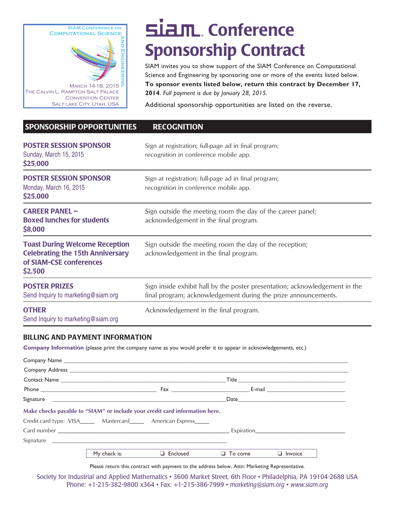

## SIAM. Conference Sponsorship Contract

SIAM invites you to show support of the SIAM Conference on Computational Science and Engineering by sponsoring one or more of the events listed below. **To sponsor events listed below, return this contract by December 17, 2014**. *Full payment is due by January 28, 2015.* 

Additional sponsorship opportunities are listed on the reverse.

### SPONSORSHIP OPPORTUNITIES RECOGNITION

| <b>POSTER SESSION SPONSOR</b><br>Sunday, March 15, 2015<br>\$25,000                                                    | Sign at registration; full-page ad in final program;<br>recognition in conference mobile app.                                                 |
|------------------------------------------------------------------------------------------------------------------------|-----------------------------------------------------------------------------------------------------------------------------------------------|
| <b>POSTER SESSION SPONSOR</b><br>Monday, March 16, 2015<br>\$25,000                                                    | Sign at registration; full-page ad in final program;<br>recognition in conference mobile app.                                                 |
| <b>CAREER PANEL -</b><br><b>Boxed lunches for students</b><br>\$8,000                                                  | Sign outside the meeting room the day of the career panel;<br>acknowledgement in the final program.                                           |
| <b>Toast During Welcome Reception</b><br><b>Celebrating the 15th Anniversary</b><br>of SIAM-CSE conferences<br>\$2,500 | Sign outside the meeting room the day of the reception;<br>acknowledgement in the final program.                                              |
| <b>POSTER PRIZES</b><br>Send Inquiry to marketing@siam.org                                                             | Sign inside exhibit hall by the poster presentation; acknowledgement in the<br>final program; acknowledgement during the prize announcements. |
| <b>OTHER</b><br>Send Inquiry to marketing@siam.org                                                                     | Acknowledgement in the final program.                                                                                                         |

#### BILLING AND PAYMENT INFORMATION

**Company Information** (please print the company name as you would prefer it to appear in acknowledgements, etc.)

| Make checks payable to "SIAM" or include your credit card information here. |              |                 |                |                |
|-----------------------------------------------------------------------------|--------------|-----------------|----------------|----------------|
| Credit card type: VISA________ Mastercard________ American Express______    |              |                 |                |                |
|                                                                             |              |                 |                |                |
|                                                                             |              |                 |                |                |
|                                                                             | My check is: | $\Box$ Enclosed | $\Box$ To come | $\Box$ Invoice |

Please return this contract with payment to the address below, Attn: Marketing Representative.

Society for Industrial and Applied Mathematics • 3600 Market Street, 6th Floor • Philadelphia, PA 19104-2688 USA Phone: +1-215-382-9800 x364 • Fax: +1-215-386-7999 • *marketing@siam.org* • *www.siam.org*